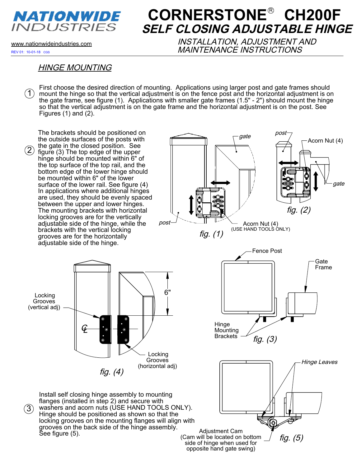

# **CORNERSTONE<sup>®</sup> CH200F SELF CLOSING ADJUSTABLE HINGE**

REV 01: 10-01-18 CGS

www.nationwideindustries.com INSTALLATION, ADJUSTMENT AND MAINTENANCE INSTRUCTIONS

#### HINGE MOUNTING

First choose the desired direction of mounting. Applications using larger post and gate frames should mount the hinge so that the vertical adjustment is on the fence post and the horizontal adjustment is on 1 the gate frame, see figure (1). Applications with smaller gate frames (1.5" - 2") should mount the hinge so that the vertical adjustment is on the gate frame and the horizontal adjustment is on the post. See Figures (1) and (2).